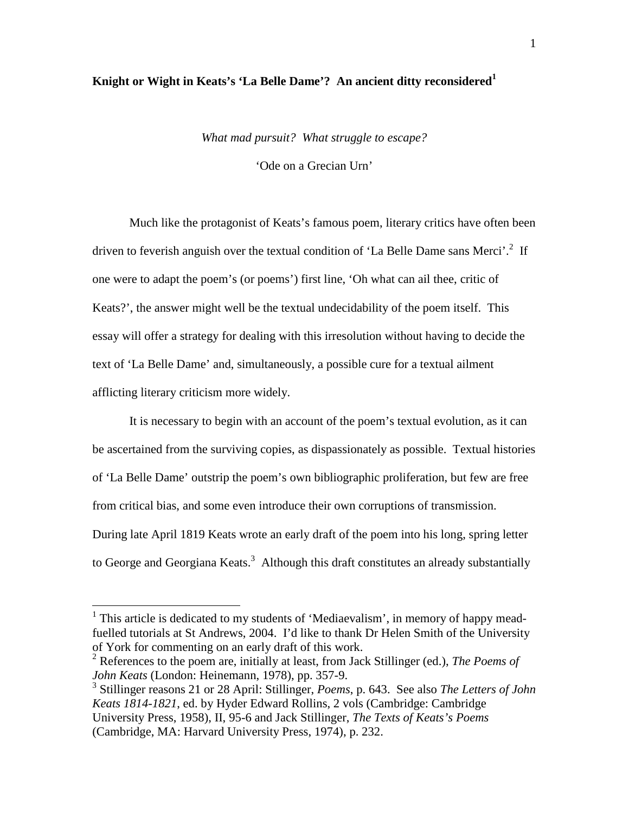## **Knight or Wight in Keats's 'La Belle Dame'? An ancient ditty reconsidered<sup>1</sup>**

*What mad pursuit? What struggle to escape?*

'Ode on a Grecian Urn'

Much like the protagonist of Keats's famous poem, literary critics have often been driven to feverish anguish over the textual condition of 'La Belle Dame sans Merci'.<sup>2</sup> If one were to adapt the poem's (or poems') first line, 'Oh what can ail thee, critic of Keats?', the answer might well be the textual undecidability of the poem itself. This essay will offer a strategy for dealing with this irresolution without having to decide the text of 'La Belle Dame' and, simultaneously, a possible cure for a textual ailment afflicting literary criticism more widely.

It is necessary to begin with an account of the poem's textual evolution, as it can be ascertained from the surviving copies, as dispassionately as possible. Textual histories of 'La Belle Dame' outstrip the poem's own bibliographic proliferation, but few are free from critical bias, and some even introduce their own corruptions of transmission. During late April 1819 Keats wrote an early draft of the poem into his long, spring letter to George and Georgiana Keats.<sup>3</sup> Although this draft constitutes an already substantially

<sup>&</sup>lt;sup>1</sup> This article is dedicated to my students of 'Mediaevalism', in memory of happy meadfuelled tutorials at St Andrews, 2004. I'd like to thank Dr Helen Smith of the University of York for commenting on an early draft of this work.

<sup>2</sup> References to the poem are, initially at least, from Jack Stillinger (ed.), *The Poems of John Keats* (London: Heinemann, 1978), pp. 357-9.

<sup>3</sup> Stillinger reasons 21 or 28 April: Stillinger, *Poems*, p. 643. See also *The Letters of John Keats 1814-1821*, ed. by Hyder Edward Rollins, 2 vols (Cambridge: Cambridge University Press, 1958), II, 95-6 and Jack Stillinger, *The Texts of Keats's Poems* (Cambridge, MA: Harvard University Press, 1974), p. 232.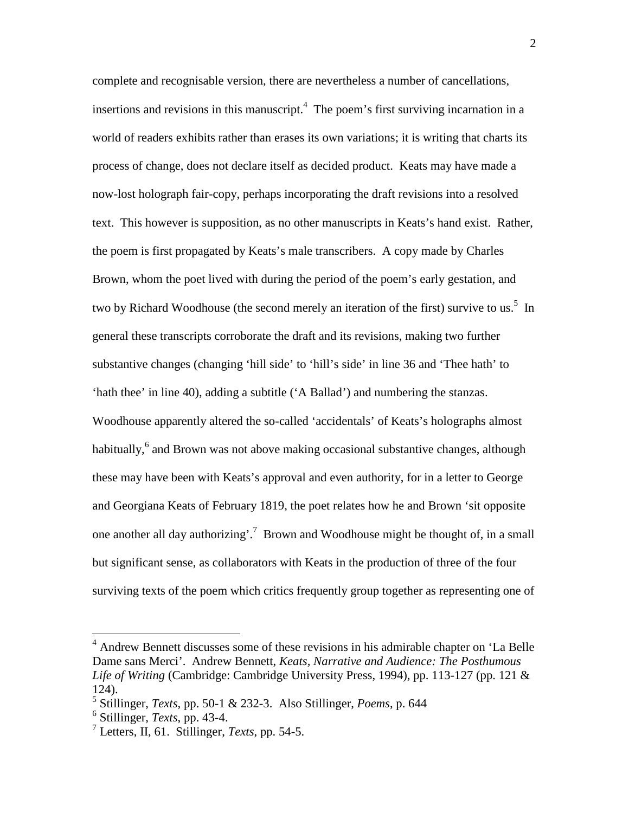complete and recognisable version, there are nevertheless a number of cancellations, insertions and revisions in this manuscript.<sup>4</sup> The poem's first surviving incarnation in a world of readers exhibits rather than erases its own variations; it is writing that charts its process of change, does not declare itself as decided product. Keats may have made a now-lost holograph fair-copy, perhaps incorporating the draft revisions into a resolved text. This however is supposition, as no other manuscripts in Keats's hand exist. Rather, the poem is first propagated by Keats's male transcribers. A copy made by Charles Brown, whom the poet lived with during the period of the poem's early gestation, and two by Richard Woodhouse (the second merely an iteration of the first) survive to us.<sup>5</sup> In general these transcripts corroborate the draft and its revisions, making two further substantive changes (changing 'hill side' to 'hill's side' in line 36 and 'Thee hath' to 'hath thee' in line 40), adding a subtitle ('A Ballad') and numbering the stanzas. Woodhouse apparently altered the so-called 'accidentals' of Keats's holographs almost habitually, <sup>6</sup> and Brown was not above making occasional substantive changes, although these may have been with Keats's approval and even authority, for in a letter to George and Georgiana Keats of February 1819, the poet relates how he and Brown 'sit opposite one another all day authorizing'.<sup>7</sup> Brown and Woodhouse might be thought of, in a small but significant sense, as collaborators with Keats in the production of three of the four surviving texts of the poem which critics frequently group together as representing one of

<sup>4</sup> Andrew Bennett discusses some of these revisions in his admirable chapter on 'La Belle Dame sans Merci'. Andrew Bennett, *Keats, Narrative and Audience: The Posthumous Life of Writing* (Cambridge: Cambridge University Press, 1994), pp. 113-127 (pp. 121 & 124).

<sup>5</sup> Stillinger, *Texts*, pp. 50-1 & 232-3. Also Stillinger, *Poems*, p. 644

<sup>6</sup> Stillinger, *Texts*, pp. 43-4.

<sup>7</sup> Letters, II, 61. Stillinger, *Texts*, pp. 54-5.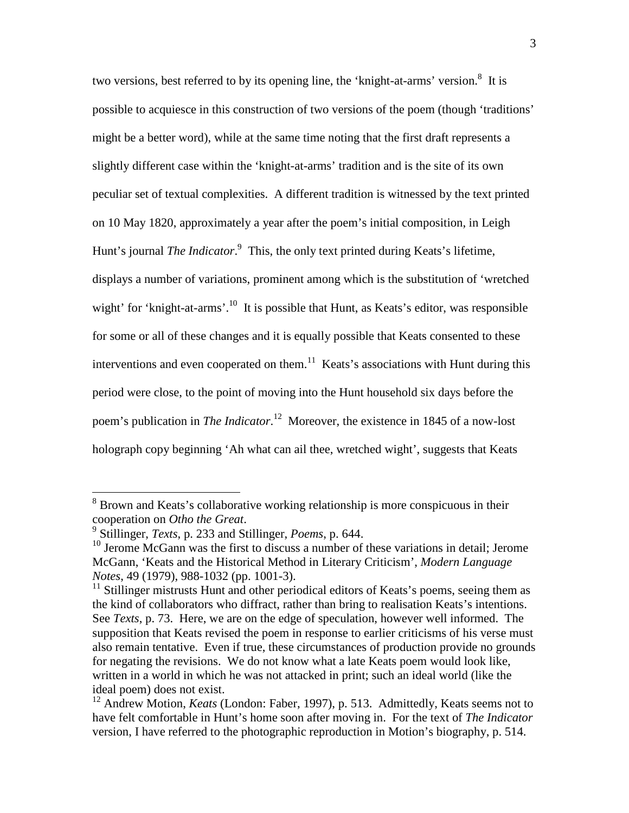two versions, best referred to by its opening line, the 'knight-at-arms' version.<sup>8</sup> It is possible to acquiesce in this construction of two versions of the poem (though 'traditions' might be a better word), while at the same time noting that the first draft represents a slightly different case within the 'knight-at-arms' tradition and is the site of its own peculiar set of textual complexities. A different tradition is witnessed by the text printed on 10 May 1820, approximately a year after the poem's initial composition, in Leigh Hunt's journal *The Indicator*. 9 This, the only text printed during Keats's lifetime, displays a number of variations, prominent among which is the substitution of 'wretched wight' for 'knight-at-arms'.<sup>10</sup> It is possible that Hunt, as Keats's editor, was responsible for some or all of these changes and it is equally possible that Keats consented to these interventions and even cooperated on them.<sup>11</sup> Keats's associations with Hunt during this period were close, to the point of moving into the Hunt household six days before the poem's publication in *The Indicator*. <sup>12</sup> Moreover, the existence in 1845 of a now-lost holograph copy beginning 'Ah what can ail thee, wretched wight', suggests that Keats

<sup>8</sup> Brown and Keats's collaborative working relationship is more conspicuous in their cooperation on *Otho the Great*.

<sup>9</sup> Stillinger, *Texts*, p. 233 and Stillinger, *Poems*, p. 644.

<sup>&</sup>lt;sup>10</sup> Jerome McGann was the first to discuss a number of these variations in detail; Jerome McGann, 'Keats and the Historical Method in Literary Criticism', *Modern Language Notes*, 49 (1979), 988-1032 (pp. 1001-3).

 $11$  Stillinger mistrusts Hunt and other periodical editors of Keats's poems, seeing them as the kind of collaborators who diffract, rather than bring to realisation Keats's intentions. See *Texts*, p. 73. Here, we are on the edge of speculation, however well informed. The supposition that Keats revised the poem in response to earlier criticisms of his verse must also remain tentative. Even if true, these circumstances of production provide no grounds for negating the revisions. We do not know what a late Keats poem would look like, written in a world in which he was not attacked in print; such an ideal world (like the ideal poem) does not exist.

<sup>&</sup>lt;sup>12</sup> Andrew Motion, *Keats* (London: Faber, 1997), p. 513. Admittedly, Keats seems not to have felt comfortable in Hunt's home soon after moving in. For the text of *The Indicator* version, I have referred to the photographic reproduction in Motion's biography, p. 514.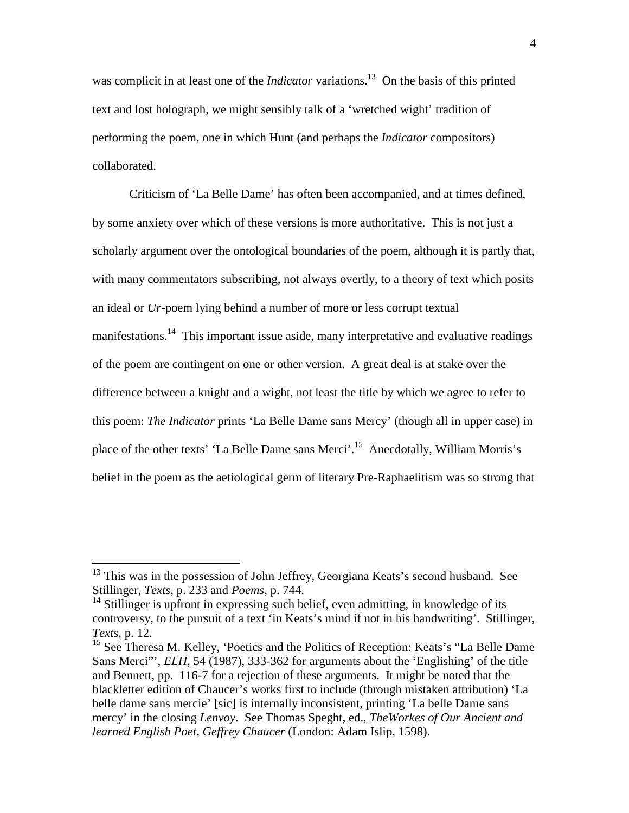was complicit in at least one of the *Indicator* variations.<sup>13</sup> On the basis of this printed text and lost holograph, we might sensibly talk of a 'wretched wight' tradition of performing the poem, one in which Hunt (and perhaps the *Indicator* compositors) collaborated.

Criticism of 'La Belle Dame' has often been accompanied, and at times defined, by some anxiety over which of these versions is more authoritative. This is not just a scholarly argument over the ontological boundaries of the poem, although it is partly that, with many commentators subscribing, not always overtly, to a theory of text which posits an ideal or *Ur*-poem lying behind a number of more or less corrupt textual manifestations.<sup>14</sup> This important issue aside, many interpretative and evaluative readings of the poem are contingent on one or other version. A great deal is at stake over the difference between a knight and a wight, not least the title by which we agree to refer to this poem: *The Indicator* prints 'La Belle Dame sans Mercy' (though all in upper case) in place of the other texts' 'La Belle Dame sans Merci'.<sup>15</sup> Anecdotally, William Morris's belief in the poem as the aetiological germ of literary Pre-Raphaelitism was so strong that

<sup>&</sup>lt;sup>13</sup> This was in the possession of John Jeffrey, Georgiana Keats's second husband. See Stillinger, *Texts*, p. 233 and *Poems*, p. 744.

 $14$  Stillinger is upfront in expressing such belief, even admitting, in knowledge of its controversy, to the pursuit of a text 'in Keats's mind if not in his handwriting'. Stillinger, *Texts*, p. 12.

<sup>&</sup>lt;sup>15</sup> See Theresa M. Kelley, 'Poetics and the Politics of Reception: Keats's "La Belle Dame" Sans Merci"', *ELH*, 54 (1987), 333-362 for arguments about the 'Englishing' of the title and Bennett, pp. 116-7 for a rejection of these arguments. It might be noted that the blackletter edition of Chaucer's works first to include (through mistaken attribution) 'La belle dame sans mercie' [sic] is internally inconsistent, printing 'La belle Dame sans mercy' in the closing *Lenvoy*. See Thomas Speght, ed., *TheWorkes of Our Ancient and learned English Poet, Geffrey Chaucer* (London: Adam Islip, 1598).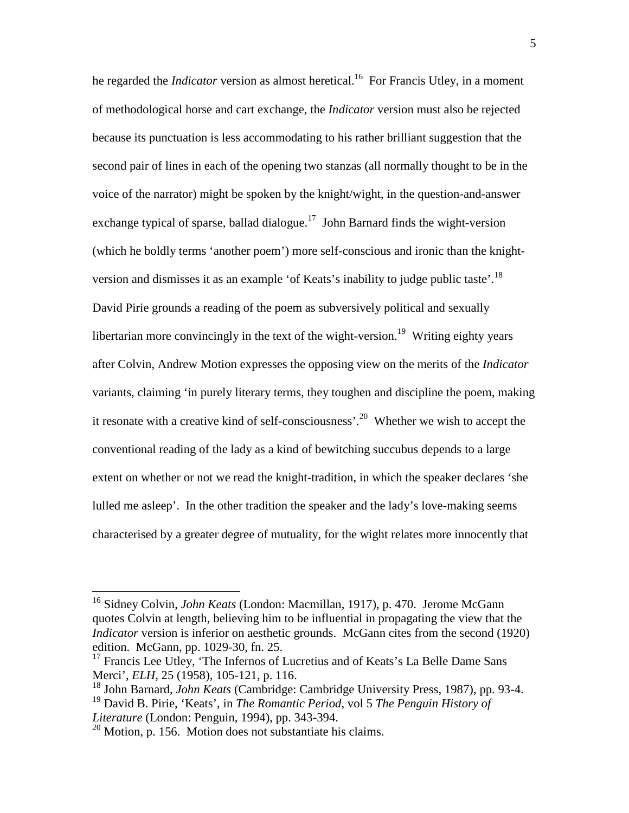he regarded the *Indicator* version as almost heretical.<sup>16</sup> For Francis Utley, in a moment of methodological horse and cart exchange, the *Indicator* version must also be rejected because its punctuation is less accommodating to his rather brilliant suggestion that the second pair of lines in each of the opening two stanzas (all normally thought to be in the voice of the narrator) might be spoken by the knight/wight, in the question-and-answer exchange typical of sparse, ballad dialogue.<sup>17</sup> John Barnard finds the wight-version (which he boldly terms 'another poem') more self-conscious and ironic than the knightversion and dismisses it as an example 'of Keats's inability to judge public taste'.<sup>18</sup> David Pirie grounds a reading of the poem as subversively political and sexually libertarian more convincingly in the text of the wight-version.<sup>19</sup> Writing eighty years after Colvin, Andrew Motion expresses the opposing view on the merits of the *Indicator* variants, claiming 'in purely literary terms, they toughen and discipline the poem, making it resonate with a creative kind of self-consciousness'.<sup>20</sup> Whether we wish to accept the conventional reading of the lady as a kind of bewitching succubus depends to a large extent on whether or not we read the knight-tradition, in which the speaker declares 'she lulled me asleep'. In the other tradition the speaker and the lady's love-making seems characterised by a greater degree of mutuality, for the wight relates more innocently that

<sup>16</sup> Sidney Colvin, *John Keats* (London: Macmillan, 1917), p. 470. Jerome McGann quotes Colvin at length, believing him to be influential in propagating the view that the *Indicator* version is inferior on aesthetic grounds. McGann cites from the second (1920) edition. McGann, pp. 1029-30, fn. 25.

<sup>&</sup>lt;sup>17</sup> Francis Lee Utley, 'The Infernos of Lucretius and of Keats's La Belle Dame Sans Merci', *ELH*, 25 (1958), 105-121, p. 116.

<sup>18</sup> John Barnard, *John Keats* (Cambridge: Cambridge University Press, 1987), pp. 93-4.

<sup>19</sup> David B. Pirie, 'Keats', in *The Romantic Period*, vol 5 *The Penguin History of Literature* (London: Penguin, 1994), pp. 343-394.

<sup>&</sup>lt;sup>20</sup> Motion, p. 156. Motion does not substantiate his claims.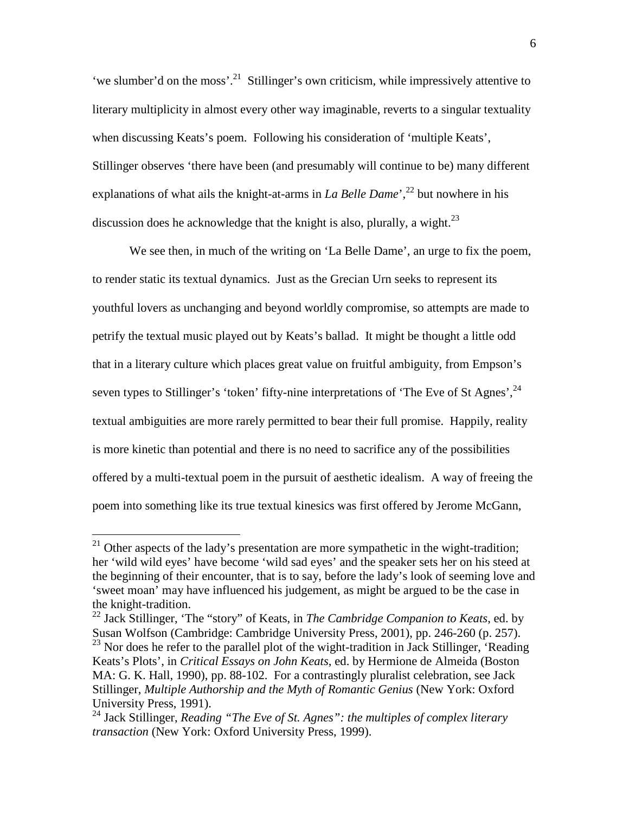'we slumber'd on the moss'.<sup>21</sup> Stillinger's own criticism, while impressively attentive to literary multiplicity in almost every other way imaginable, reverts to a singular textuality when discussing Keats's poem. Following his consideration of 'multiple Keats', Stillinger observes 'there have been (and presumably will continue to be) many different explanations of what ails the knight-at-arms in *La Belle Dame*<sup>', 22</sup> but nowhere in his discussion does he acknowledge that the knight is also, plurally, a wight.<sup>23</sup>

We see then, in much of the writing on 'La Belle Dame', an urge to fix the poem, to render static its textual dynamics. Just as the Grecian Urn seeks to represent its youthful lovers as unchanging and beyond worldly compromise, so attempts are made to petrify the textual music played out by Keats's ballad. It might be thought a little odd that in a literary culture which places great value on fruitful ambiguity, from Empson's seven types to Stillinger's 'token' fifty-nine interpretations of 'The Eve of St Agnes',  $^{24}$ textual ambiguities are more rarely permitted to bear their full promise. Happily, reality is more kinetic than potential and there is no need to sacrifice any of the possibilities offered by a multi-textual poem in the pursuit of aesthetic idealism. A way of freeing the poem into something like its true textual kinesics was first offered by Jerome McGann,

 $21$  Other aspects of the lady's presentation are more sympathetic in the wight-tradition; her 'wild wild eyes' have become 'wild sad eyes' and the speaker sets her on his steed at the beginning of their encounter, that is to say, before the lady's look of seeming love and 'sweet moan' may have influenced his judgement, as might be argued to be the case in the knight-tradition.

<sup>22</sup> Jack Stillinger, 'The "story" of Keats, in *The Cambridge Companion to Keats*, ed. by Susan Wolfson (Cambridge: Cambridge University Press, 2001), pp. 246-260 (p. 257).  $23$  Nor does he refer to the parallel plot of the wight-tradition in Jack Stillinger, 'Reading Keats's Plots', in *Critical Essays on John Keats*, ed. by Hermione de Almeida (Boston MA: G. K. Hall, 1990), pp. 88-102. For a contrastingly pluralist celebration, see Jack Stillinger, *Multiple Authorship and the Myth of Romantic Genius* (New York: Oxford University Press, 1991).

<sup>24</sup> Jack Stillinger, *Reading "The Eve of St. Agnes": the multiples of complex literary transaction* (New York: Oxford University Press, 1999).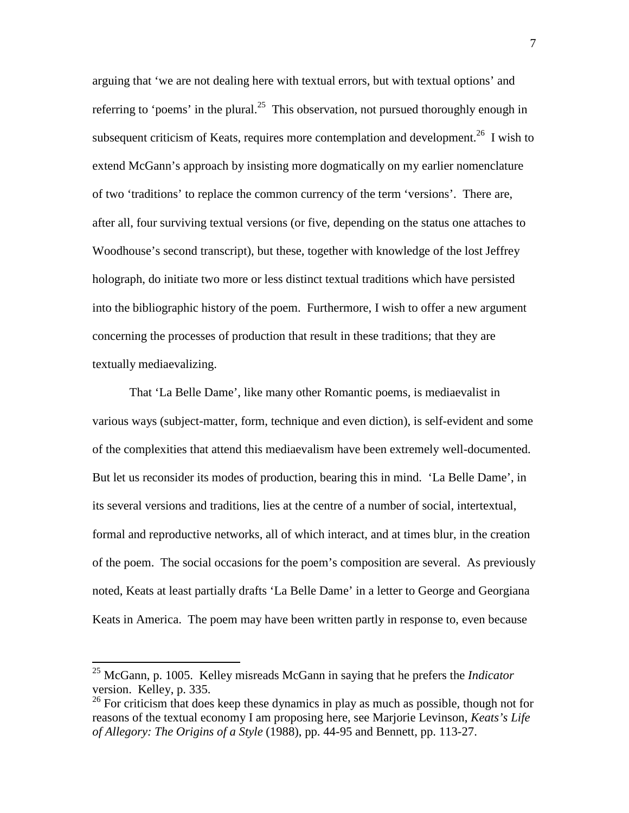arguing that 'we are not dealing here with textual errors, but with textual options' and referring to 'poems' in the plural.<sup>25</sup> This observation, not pursued thoroughly enough in subsequent criticism of Keats, requires more contemplation and development.<sup>26</sup> I wish to extend McGann's approach by insisting more dogmatically on my earlier nomenclature of two 'traditions' to replace the common currency of the term 'versions'. There are, after all, four surviving textual versions (or five, depending on the status one attaches to Woodhouse's second transcript), but these, together with knowledge of the lost Jeffrey holograph, do initiate two more or less distinct textual traditions which have persisted into the bibliographic history of the poem. Furthermore, I wish to offer a new argument concerning the processes of production that result in these traditions; that they are textually mediaevalizing.

That 'La Belle Dame', like many other Romantic poems, is mediaevalist in various ways (subject-matter, form, technique and even diction), is self-evident and some of the complexities that attend this mediaevalism have been extremely well-documented. But let us reconsider its modes of production, bearing this in mind. 'La Belle Dame', in its several versions and traditions, lies at the centre of a number of social, intertextual, formal and reproductive networks, all of which interact, and at times blur, in the creation of the poem. The social occasions for the poem's composition are several. As previously noted, Keats at least partially drafts 'La Belle Dame' in a letter to George and Georgiana Keats in America. The poem may have been written partly in response to, even because

<sup>25</sup> McGann, p. 1005. Kelley misreads McGann in saying that he prefers the *Indicator* version. Kelley, p. 335.

 $26$  For criticism that does keep these dynamics in play as much as possible, though not for reasons of the textual economy I am proposing here, see Marjorie Levinson, *Keats's Life of Allegory: The Origins of a Style* (1988), pp. 44-95 and Bennett, pp. 113-27.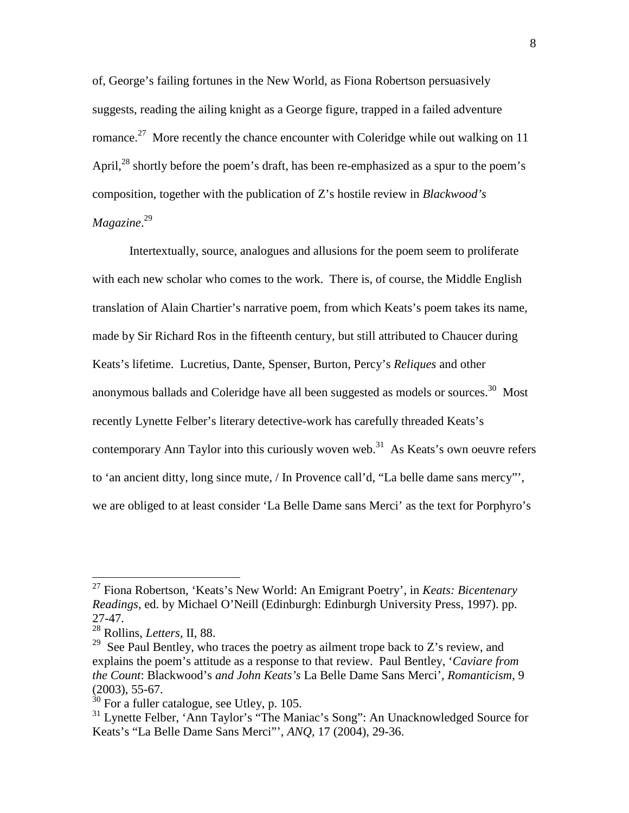of, George's failing fortunes in the New World, as Fiona Robertson persuasively suggests, reading the ailing knight as a George figure, trapped in a failed adventure romance.<sup>27</sup> More recently the chance encounter with Coleridge while out walking on 11 April, $^{28}$  shortly before the poem's draft, has been re-emphasized as a spur to the poem's composition, together with the publication of Z's hostile review in *Blackwood's Magazine*. 29

Intertextually, source, analogues and allusions for the poem seem to proliferate with each new scholar who comes to the work. There is, of course, the Middle English translation of Alain Chartier's narrative poem, from which Keats's poem takes its name, made by Sir Richard Ros in the fifteenth century, but still attributed to Chaucer during Keats's lifetime. Lucretius, Dante, Spenser, Burton, Percy's *Reliques* and other anonymous ballads and Coleridge have all been suggested as models or sources.<sup>30</sup> Most recently Lynette Felber's literary detective-work has carefully threaded Keats's contemporary Ann Taylor into this curiously woven web.<sup>31</sup> As Keats's own oeuvre refers to 'an ancient ditty, long since mute, / In Provence call'd, "La belle dame sans mercy"', we are obliged to at least consider 'La Belle Dame sans Merci' as the text for Porphyro's

<sup>27</sup> Fiona Robertson, 'Keats's New World: An Emigrant Poetry', in *Keats: Bicentenary Readings*, ed. by Michael O'Neill (Edinburgh: Edinburgh University Press, 1997). pp. 27-47.

<sup>28</sup> Rollins, *Letters*, II, 88.

 $29$  See Paul Bentley, who traces the poetry as ailment trope back to Z's review, and explains the poem's attitude as a response to that review. Paul Bentley, '*Caviare from the Count*: Blackwood's *and John Keats's* La Belle Dame Sans Merci', *Romanticism*, 9 (2003), 55-67.

 $30$  For a fuller catalogue, see Utley, p. 105.

<sup>&</sup>lt;sup>31</sup> Lynette Felber, 'Ann Taylor's "The Maniac's Song": An Unacknowledged Source for Keats's "La Belle Dame Sans Merci"', *ANQ*, 17 (2004), 29-36.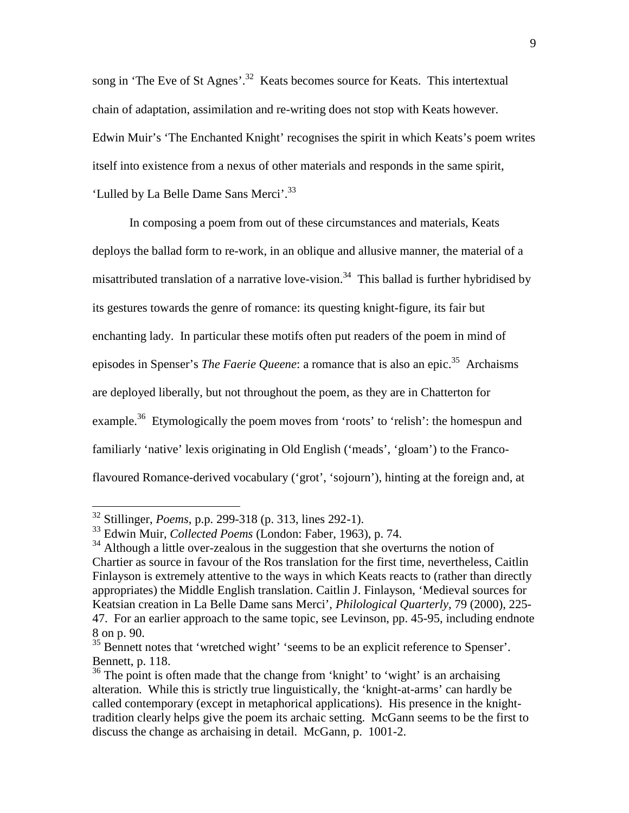song in 'The Eve of St Agnes'.<sup>32</sup> Keats becomes source for Keats. This intertextual chain of adaptation, assimilation and re-writing does not stop with Keats however. Edwin Muir's 'The Enchanted Knight' recognises the spirit in which Keats's poem writes itself into existence from a nexus of other materials and responds in the same spirit, 'Lulled by La Belle Dame Sans Merci'.<sup>33</sup>

In composing a poem from out of these circumstances and materials, Keats deploys the ballad form to re-work, in an oblique and allusive manner, the material of a misattributed translation of a narrative love-vision.<sup>34</sup> This ballad is further hybridised by its gestures towards the genre of romance: its questing knight-figure, its fair but enchanting lady. In particular these motifs often put readers of the poem in mind of episodes in Spenser's *The Faerie Queene*: a romance that is also an epic.<sup>35</sup> Archaisms are deployed liberally, but not throughout the poem, as they are in Chatterton for example.<sup>36</sup> Etymologically the poem moves from 'roots' to 'relish': the homespun and familiarly 'native' lexis originating in Old English ('meads', 'gloam') to the Francoflavoured Romance-derived vocabulary ('grot', 'sojourn'), hinting at the foreign and, at

<sup>32</sup> Stillinger, *Poems*, p.p. 299-318 (p. 313, lines 292-1).

<sup>33</sup> Edwin Muir, *Collected Poems* (London: Faber, 1963), p. 74.

<sup>&</sup>lt;sup>34</sup> Although a little over-zealous in the suggestion that she overturns the notion of Chartier as source in favour of the Ros translation for the first time, nevertheless, Caitlin Finlayson is extremely attentive to the ways in which Keats reacts to (rather than directly appropriates) the Middle English translation. Caitlin J. Finlayson, 'Medieval sources for Keatsian creation in La Belle Dame sans Merci', *Philological Quarterly*, 79 (2000), 225- 47. For an earlier approach to the same topic, see Levinson, pp. 45-95, including endnote 8 on p. 90.

 $35$  Bennett notes that 'wretched wight' 'seems to be an explicit reference to Spenser'. Bennett, p. 118.

 $36$  The point is often made that the change from 'knight' to 'wight' is an archaising alteration. While this is strictly true linguistically, the 'knight-at-arms' can hardly be called contemporary (except in metaphorical applications). His presence in the knighttradition clearly helps give the poem its archaic setting. McGann seems to be the first to discuss the change as archaising in detail. McGann, p. 1001-2.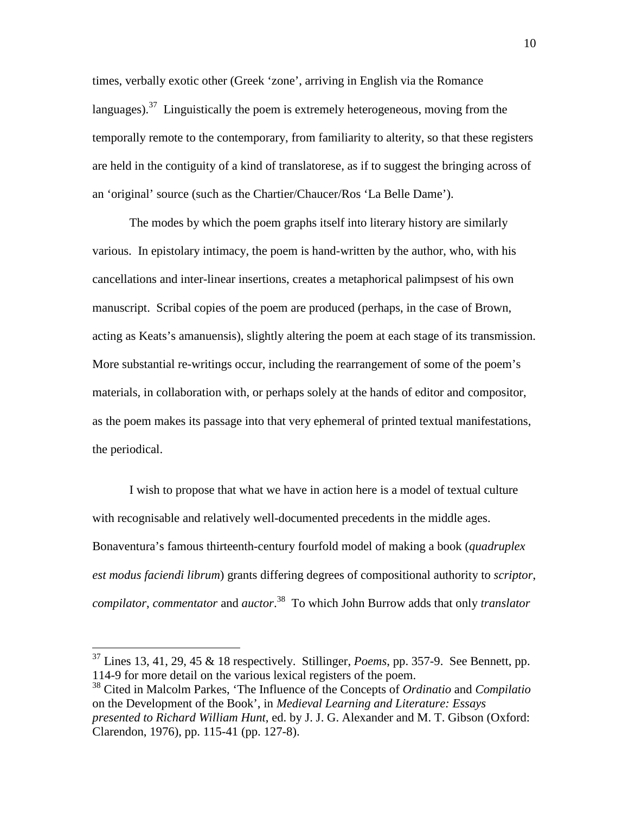times, verbally exotic other (Greek 'zone', arriving in English via the Romance languages).<sup>37</sup> Linguistically the poem is extremely heterogeneous, moving from the temporally remote to the contemporary, from familiarity to alterity, so that these registers are held in the contiguity of a kind of translatorese, as if to suggest the bringing across of an 'original' source (such as the Chartier/Chaucer/Ros 'La Belle Dame').

The modes by which the poem graphs itself into literary history are similarly various. In epistolary intimacy, the poem is hand-written by the author, who, with his cancellations and inter-linear insertions, creates a metaphorical palimpsest of his own manuscript. Scribal copies of the poem are produced (perhaps, in the case of Brown, acting as Keats's amanuensis), slightly altering the poem at each stage of its transmission. More substantial re-writings occur, including the rearrangement of some of the poem's materials, in collaboration with, or perhaps solely at the hands of editor and compositor, as the poem makes its passage into that very ephemeral of printed textual manifestations, the periodical.

I wish to propose that what we have in action here is a model of textual culture with recognisable and relatively well-documented precedents in the middle ages. Bonaventura's famous thirteenth-century fourfold model of making a book (*quadruplex est modus faciendi librum*) grants differing degrees of compositional authority to *scriptor*, *compilator*, *commentator* and *auctor*. <sup>38</sup> To which John Burrow adds that only *translator*

<sup>37</sup> Lines 13, 41, 29, 45 & 18 respectively. Stillinger, *Poems*, pp. 357-9. See Bennett, pp. 114-9 for more detail on the various lexical registers of the poem.

<sup>38</sup> Cited in Malcolm Parkes, 'The Influence of the Concepts of *Ordinatio* and *Compilatio* on the Development of the Book', in *Medieval Learning and Literature: Essays presented to Richard William Hunt*, ed. by J. J. G. Alexander and M. T. Gibson (Oxford: Clarendon, 1976), pp. 115-41 (pp. 127-8).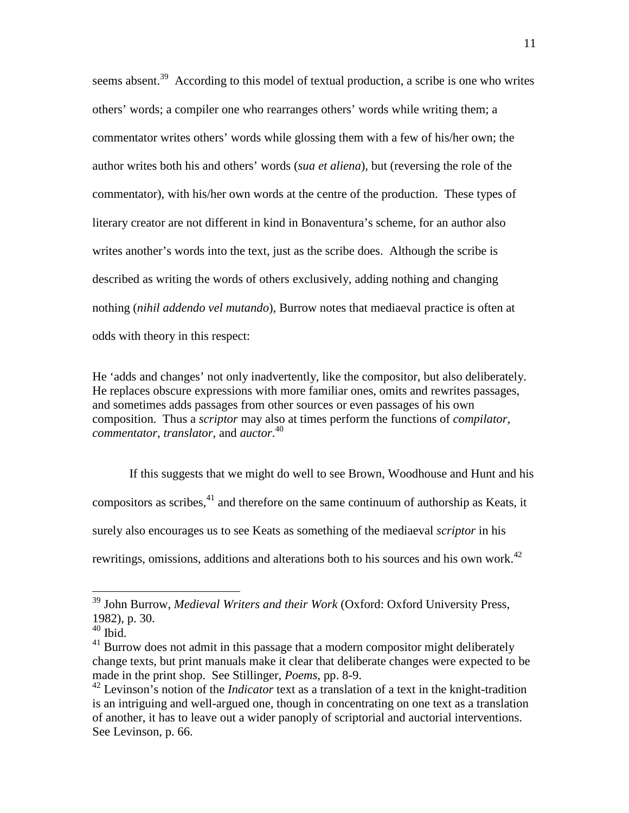seems absent.<sup>39</sup> According to this model of textual production, a scribe is one who writes others' words; a compiler one who rearranges others' words while writing them; a commentator writes others' words while glossing them with a few of his/her own; the author writes both his and others' words (*sua et aliena*), but (reversing the role of the commentator), with his/her own words at the centre of the production. These types of literary creator are not different in kind in Bonaventura's scheme, for an author also writes another's words into the text, just as the scribe does. Although the scribe is described as writing the words of others exclusively, adding nothing and changing nothing (*nihil addendo vel mutando*), Burrow notes that mediaeval practice is often at odds with theory in this respect:

He 'adds and changes' not only inadvertently, like the compositor, but also deliberately. He replaces obscure expressions with more familiar ones, omits and rewrites passages, and sometimes adds passages from other sources or even passages of his own composition. Thus a *scriptor* may also at times perform the functions of *compilator*, *commentator*, *translator*, and *auctor*. 40

If this suggests that we might do well to see Brown, Woodhouse and Hunt and his compositors as scribes,  $41$  and therefore on the same continuum of authorship as Keats, it surely also encourages us to see Keats as something of the mediaeval *scriptor* in his rewritings, omissions, additions and alterations both to his sources and his own work.<sup>42</sup>

<sup>39</sup> John Burrow, *Medieval Writers and their Work* (Oxford: Oxford University Press, 1982), p. 30.

 $40$  Ibid.

<sup>&</sup>lt;sup>41</sup> Burrow does not admit in this passage that a modern compositor might deliberately change texts, but print manuals make it clear that deliberate changes were expected to be made in the print shop. See Stillinger, *Poems*, pp. 8-9.

<sup>42</sup> Levinson's notion of the *Indicator* text as a translation of a text in the knight-tradition is an intriguing and well-argued one, though in concentrating on one text as a translation of another, it has to leave out a wider panoply of scriptorial and auctorial interventions. See Levinson, p. 66.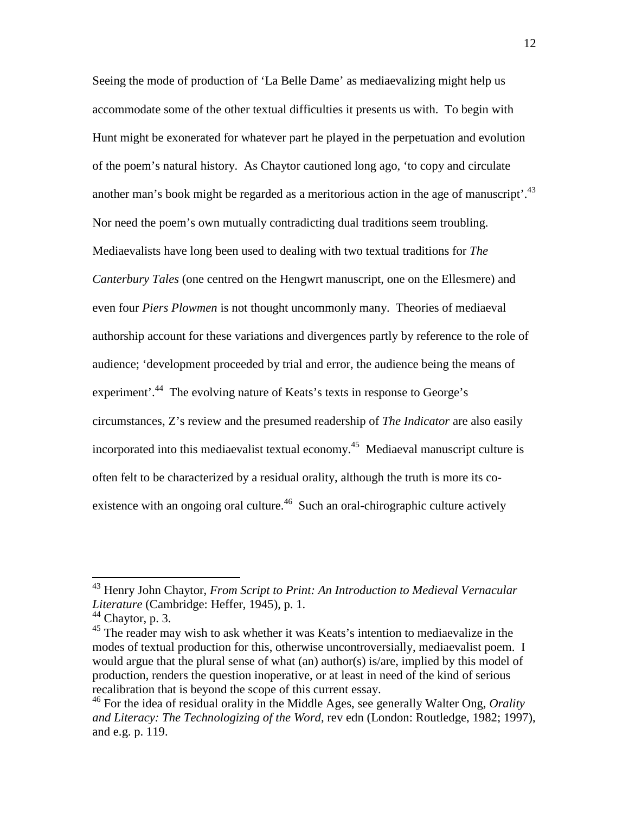Seeing the mode of production of 'La Belle Dame' as mediaevalizing might help us accommodate some of the other textual difficulties it presents us with. To begin with Hunt might be exonerated for whatever part he played in the perpetuation and evolution of the poem's natural history. As Chaytor cautioned long ago, 'to copy and circulate another man's book might be regarded as a meritorious action in the age of manuscript'.<sup>43</sup> Nor need the poem's own mutually contradicting dual traditions seem troubling. Mediaevalists have long been used to dealing with two textual traditions for *The Canterbury Tales* (one centred on the Hengwrt manuscript, one on the Ellesmere) and even four *Piers Plowmen* is not thought uncommonly many. Theories of mediaeval authorship account for these variations and divergences partly by reference to the role of audience; 'development proceeded by trial and error, the audience being the means of experiment<sup>'.44</sup> The evolving nature of Keats's texts in response to George's circumstances, Z's review and the presumed readership of *The Indicator* are also easily incorporated into this mediaevalist textual economy.<sup>45</sup> Mediaeval manuscript culture is often felt to be characterized by a residual orality, although the truth is more its coexistence with an ongoing oral culture.<sup>46</sup> Such an oral-chirographic culture actively

<sup>43</sup> Henry John Chaytor, *From Script to Print: An Introduction to Medieval Vernacular Literature* (Cambridge: Heffer, 1945), p. 1.

 $44$  Chaytor, p. 3.

<sup>&</sup>lt;sup>45</sup> The reader may wish to ask whether it was Keats's intention to mediaevalize in the modes of textual production for this, otherwise uncontroversially, mediaevalist poem. I would argue that the plural sense of what (an) author(s) is/are, implied by this model of production, renders the question inoperative, or at least in need of the kind of serious recalibration that is beyond the scope of this current essay.

<sup>46</sup> For the idea of residual orality in the Middle Ages, see generally Walter Ong, *Orality and Literacy: The Technologizing of the Word*, rev edn (London: Routledge, 1982; 1997), and e.g. p. 119.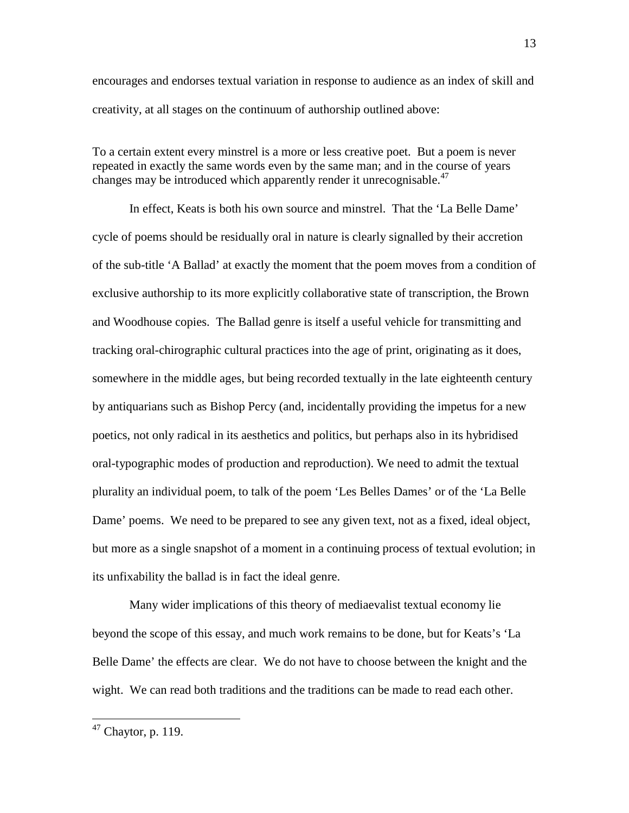encourages and endorses textual variation in response to audience as an index of skill and creativity, at all stages on the continuum of authorship outlined above:

To a certain extent every minstrel is a more or less creative poet. But a poem is never repeated in exactly the same words even by the same man; and in the course of years changes may be introduced which apparently render it unrecognisable.<sup>47</sup>

In effect, Keats is both his own source and minstrel. That the 'La Belle Dame' cycle of poems should be residually oral in nature is clearly signalled by their accretion of the sub-title 'A Ballad' at exactly the moment that the poem moves from a condition of exclusive authorship to its more explicitly collaborative state of transcription, the Brown and Woodhouse copies. The Ballad genre is itself a useful vehicle for transmitting and tracking oral-chirographic cultural practices into the age of print, originating as it does, somewhere in the middle ages, but being recorded textually in the late eighteenth century by antiquarians such as Bishop Percy (and, incidentally providing the impetus for a new poetics, not only radical in its aesthetics and politics, but perhaps also in its hybridised oral-typographic modes of production and reproduction). We need to admit the textual plurality an individual poem, to talk of the poem 'Les Belles Dames' or of the 'La Belle Dame' poems. We need to be prepared to see any given text, not as a fixed, ideal object, but more as a single snapshot of a moment in a continuing process of textual evolution; in its unfixability the ballad is in fact the ideal genre.

Many wider implications of this theory of mediaevalist textual economy lie beyond the scope of this essay, and much work remains to be done, but for Keats's 'La Belle Dame' the effects are clear. We do not have to choose between the knight and the wight. We can read both traditions and the traditions can be made to read each other.

 $47$  Chaytor, p. 119.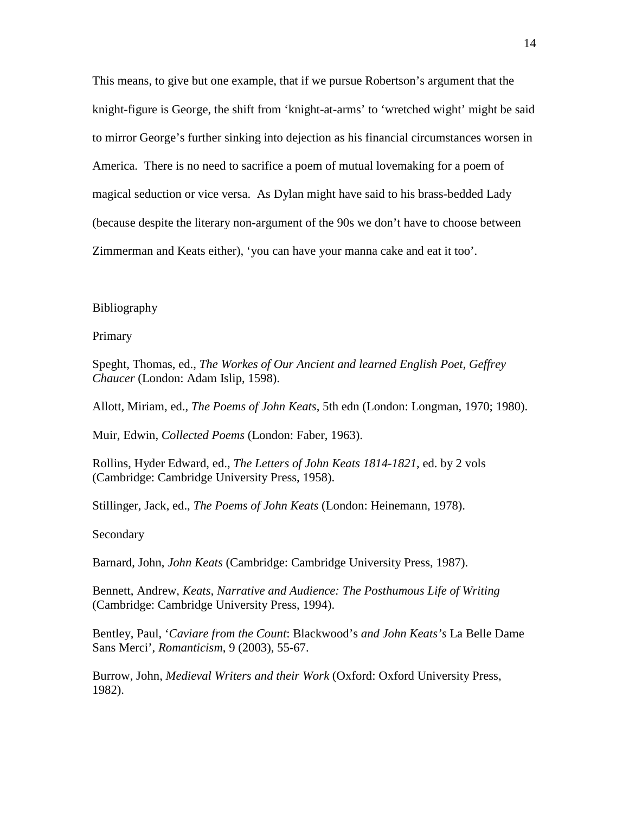This means, to give but one example, that if we pursue Robertson's argument that the knight-figure is George, the shift from 'knight-at-arms' to 'wretched wight' might be said to mirror George's further sinking into dejection as his financial circumstances worsen in America. There is no need to sacrifice a poem of mutual lovemaking for a poem of magical seduction or vice versa. As Dylan might have said to his brass-bedded Lady (because despite the literary non-argument of the 90s we don't have to choose between Zimmerman and Keats either), 'you can have your manna cake and eat it too'.

## Bibliography

Primary

Speght, Thomas, ed., *The Workes of Our Ancient and learned English Poet, Geffrey Chaucer* (London: Adam Islip, 1598).

Allott, Miriam, ed., *The Poems of John Keats*, 5th edn (London: Longman, 1970; 1980).

Muir, Edwin, *Collected Poems* (London: Faber, 1963).

Rollins, Hyder Edward, ed., *The Letters of John Keats 1814-1821*, ed. by 2 vols (Cambridge: Cambridge University Press, 1958).

Stillinger, Jack, ed., *The Poems of John Keats* (London: Heinemann, 1978).

Secondary

Barnard, John, *John Keats* (Cambridge: Cambridge University Press, 1987).

Bennett, Andrew, *Keats, Narrative and Audience: The Posthumous Life of Writing* (Cambridge: Cambridge University Press, 1994).

Bentley, Paul, '*Caviare from the Count*: Blackwood's *and John Keats's* La Belle Dame Sans Merci', *Romanticism*, 9 (2003), 55-67.

Burrow, John, *Medieval Writers and their Work* (Oxford: Oxford University Press, 1982).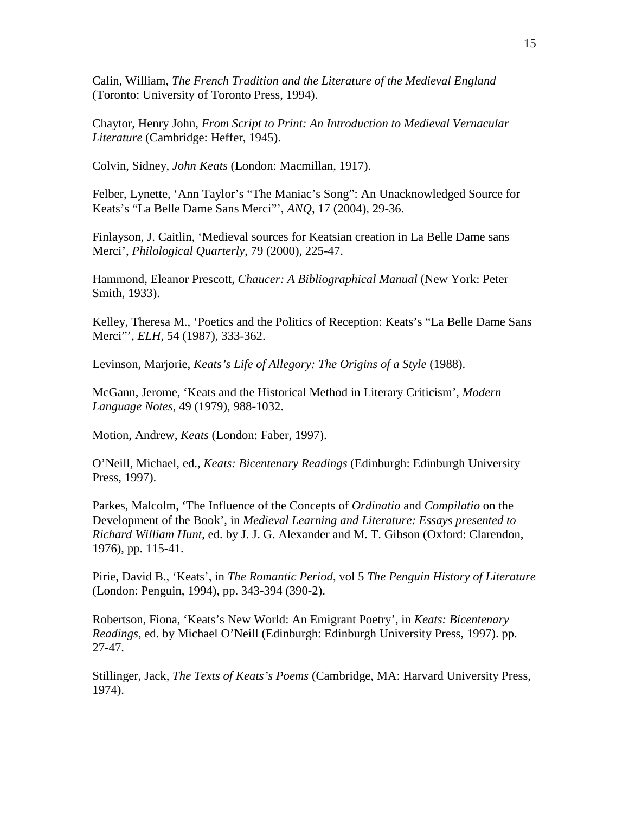Calin, William, *The French Tradition and the Literature of the Medieval England* (Toronto: University of Toronto Press, 1994).

Chaytor, Henry John, *From Script to Print: An Introduction to Medieval Vernacular Literature* (Cambridge: Heffer, 1945).

Colvin, Sidney, *John Keats* (London: Macmillan, 1917).

Felber, Lynette, 'Ann Taylor's "The Maniac's Song": An Unacknowledged Source for Keats's "La Belle Dame Sans Merci"', *ANQ*, 17 (2004), 29-36.

Finlayson, J. Caitlin, 'Medieval sources for Keatsian creation in La Belle Dame sans Merci', *Philological Quarterly*, 79 (2000), 225-47.

Hammond, Eleanor Prescott, *Chaucer: A Bibliographical Manual* (New York: Peter Smith, 1933).

Kelley, Theresa M., 'Poetics and the Politics of Reception: Keats's "La Belle Dame Sans Merci"', *ELH*, 54 (1987), 333-362.

Levinson, Marjorie, *Keats's Life of Allegory: The Origins of a Style* (1988).

McGann, Jerome, 'Keats and the Historical Method in Literary Criticism', *Modern Language Notes*, 49 (1979), 988-1032.

Motion, Andrew, *Keats* (London: Faber, 1997).

O'Neill, Michael, ed., *Keats: Bicentenary Readings* (Edinburgh: Edinburgh University Press, 1997).

Parkes, Malcolm, 'The Influence of the Concepts of *Ordinatio* and *Compilatio* on the Development of the Book', in *Medieval Learning and Literature: Essays presented to Richard William Hunt*, ed. by J. J. G. Alexander and M. T. Gibson (Oxford: Clarendon, 1976), pp. 115-41.

Pirie, David B., 'Keats', in *The Romantic Period*, vol 5 *The Penguin History of Literature* (London: Penguin, 1994), pp. 343-394 (390-2).

Robertson, Fiona, 'Keats's New World: An Emigrant Poetry', in *Keats: Bicentenary Readings*, ed. by Michael O'Neill (Edinburgh: Edinburgh University Press, 1997). pp. 27-47.

Stillinger, Jack, *The Texts of Keats's Poems* (Cambridge, MA: Harvard University Press, 1974).